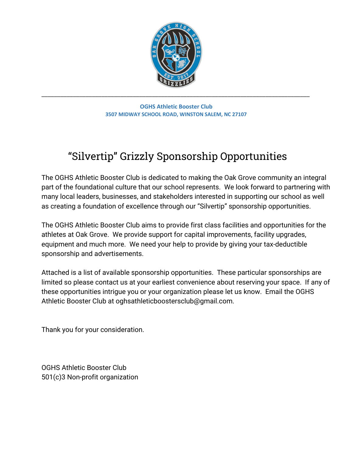

**OGHS Athletic Booster Club 3507 MIDWAY SCHOOL ROAD, WINSTON SALEM, NC 27107**

# "Silvertip" Grizzly Sponsorship Opportunities

The OGHS Athletic Booster Club is dedicated to making the Oak Grove community an integral part of the foundational culture that our school represents. We look forward to partnering with many local leaders, businesses, and stakeholders interested in supporting our school as well as creating a foundation of excellence through our "Silvertip" sponsorship opportunities.

The OGHS Athletic Booster Club aims to provide first class facilities and opportunities for the athletes at Oak Grove. We provide support for capital improvements, facility upgrades, equipment and much more. We need your help to provide by giving your tax-deductible sponsorship and advertisements.

Attached is a list of available sponsorship opportunities. These particular sponsorships are limited so please contact us at your earliest convenience about reserving your space. If any of these opportunities intrigue you or your organization please let us know. Email the OGHS Athletic Booster Club at oghsathleticboostersclub@gmail.com.

Thank you for your consideration.

OGHS Athletic Booster Club 501(c)3 Non-profit organization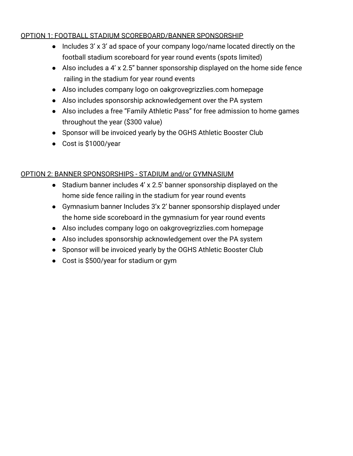#### OPTION 1: FOOTBALL STADIUM SCOREBOARD/BANNER SPONSORSHIP

- Includes 3' x 3' ad space of your company logo/name located directly on the football stadium scoreboard for year round events (spots limited)
- Also includes a 4' x 2.5" banner sponsorship displayed on the home side fence railing in the stadium for year round events
- Also includes company logo on oakgrovegrizzlies.com homepage
- Also includes sponsorship acknowledgement over the PA system
- Also includes a free "Family Athletic Pass" for free admission to home games throughout the year (\$300 value)
- Sponsor will be invoiced yearly by the OGHS Athletic Booster Club
- Cost is \$1000/year

#### OPTION 2: BANNER SPONSORSHIPS - STADIUM and/or GYMNASIUM

- Stadium banner includes 4' x 2.5' banner sponsorship displayed on the home side fence railing in the stadium for year round events
- Gymnasium banner Includes 3'x 2' banner sponsorship displayed under the home side scoreboard in the gymnasium for year round events
- Also includes company logo on oakgrovegrizzlies.com homepage
- Also includes sponsorship acknowledgement over the PA system
- Sponsor will be invoiced yearly by the OGHS Athletic Booster Club
- Cost is \$500/year for stadium or gym